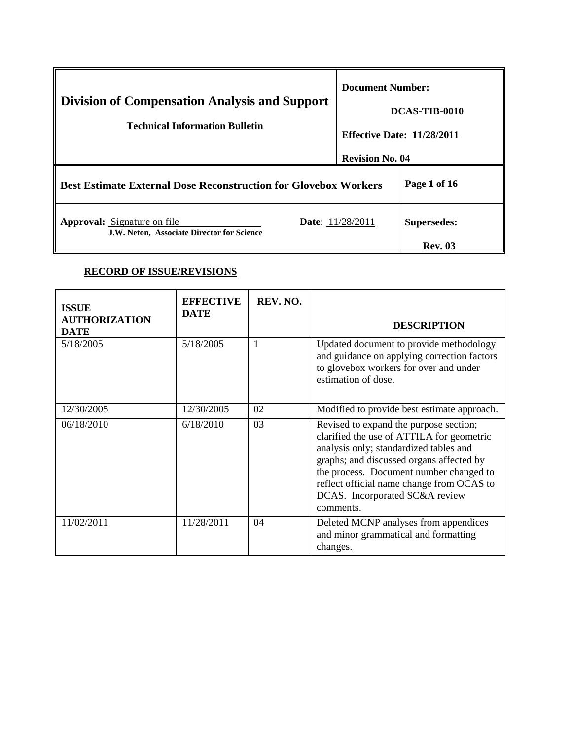| <b>Division of Compensation Analysis and Support</b><br><b>Technical Information Bulletin</b> | <b>Document Number:</b><br>DCAS-TIB-0010                    |                                      |
|-----------------------------------------------------------------------------------------------|-------------------------------------------------------------|--------------------------------------|
|                                                                                               | <b>Effective Date: 11/28/2011</b><br><b>Revision No. 04</b> |                                      |
| <b>Best Estimate External Dose Reconstruction for Glovebox Workers</b>                        |                                                             | Page 1 of 16                         |
| <b>Approval:</b> Signature on file<br>J.W. Neton, Associate Director for Science              | <b>Date:</b> 11/28/2011                                     | <b>Supersedes:</b><br><b>Rev. 03</b> |

# **RECORD OF ISSUE/REVISIONS**

| <b>ISSUE</b><br><b>AUTHORIZATION</b><br><b>DATE</b> | <b>EFFECTIVE</b><br><b>DATE</b> | REV. NO. | <b>DESCRIPTION</b>                                                                                                                                                                                                                                                                                               |
|-----------------------------------------------------|---------------------------------|----------|------------------------------------------------------------------------------------------------------------------------------------------------------------------------------------------------------------------------------------------------------------------------------------------------------------------|
| 5/18/2005                                           | 5/18/2005                       |          | Updated document to provide methodology<br>and guidance on applying correction factors<br>to glovebox workers for over and under<br>estimation of dose.                                                                                                                                                          |
| 12/30/2005                                          | 12/30/2005                      | 02       | Modified to provide best estimate approach.                                                                                                                                                                                                                                                                      |
| 06/18/2010                                          | 6/18/2010                       | 03       | Revised to expand the purpose section;<br>clarified the use of ATTILA for geometric<br>analysis only; standardized tables and<br>graphs; and discussed organs affected by<br>the process. Document number changed to<br>reflect official name change from OCAS to<br>DCAS. Incorporated SC&A review<br>comments. |
| 11/02/2011                                          | 11/28/2011                      | 04       | Deleted MCNP analyses from appendices<br>and minor grammatical and formatting<br>changes.                                                                                                                                                                                                                        |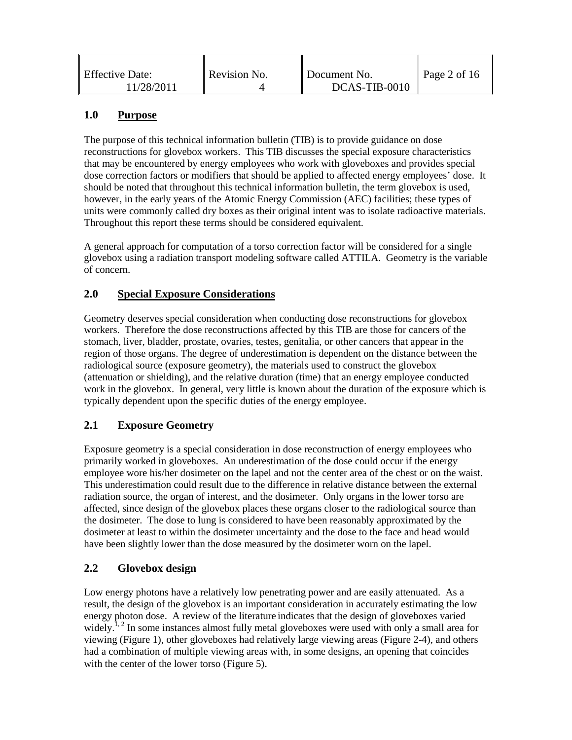| <b>Effective Date:</b> | Revision No. | Document No.  | Page 2 of $16$ |
|------------------------|--------------|---------------|----------------|
| 11/28/2011             |              | DCAS-TIB-0010 |                |

#### **1.0 Purpose**

The purpose of this technical information bulletin (TIB) is to provide guidance on dose reconstructions for glovebox workers. This TIB discusses the special exposure characteristics that may be encountered by energy employees who work with gloveboxes and provides special dose correction factors or modifiers that should be applied to affected energy employees' dose. It should be noted that throughout this technical information bulletin, the term glovebox is used, however, in the early years of the Atomic Energy Commission (AEC) facilities; these types of units were commonly called dry boxes as their original intent was to isolate radioactive materials. Throughout this report these terms should be considered equivalent.

A general approach for computation of a torso correction factor will be considered for a single glovebox using a radiation transport modeling software called ATTILA. Geometry is the variable of concern.

#### **2.0 Special Exposure Considerations**

Geometry deserves special consideration when conducting dose reconstructions for glovebox workers. Therefore the dose reconstructions affected by this TIB are those for cancers of the stomach, liver, bladder, prostate, ovaries, testes, genitalia, or other cancers that appear in the region of those organs. The degree of underestimation is dependent on the distance between the radiological source (exposure geometry), the materials used to construct the glovebox (attenuation or shielding), and the relative duration (time) that an energy employee conducted work in the glovebox. In general, very little is known about the duration of the exposure which is typically dependent upon the specific duties of the energy employee.

## **2.1 Exposure Geometry**

Exposure geometry is a special consideration in dose reconstruction of energy employees who primarily worked in gloveboxes. An underestimation of the dose could occur if the energy employee wore his/her dosimeter on the lapel and not the center area of the chest or on the waist. This underestimation could result due to the difference in relative distance between the external radiation source, the organ of interest, and the dosimeter. Only organs in the lower torso are affected, since design of the glovebox places these organs closer to the radiological source than the dosimeter. The dose to lung is considered to have been reasonably approximated by the dosimeter at least to within the dosimeter uncertainty and the dose to the face and head would have been slightly lower than the dose measured by the dosimeter worn on the lapel.

#### **2.2 Glovebox design**

Low energy photons have a relatively low penetrating power and are easily attenuated. As a result, the design of the glovebox is an important consideration in accurately estimating the low energy photon dose. A review of the literature indicates that the design of gloveboxes varied widely.<sup>1, 2</sup> In some instances almost fully metal gloveboxes were used with only a small area for viewing (Figure 1), other gloveboxes had relatively large viewing areas (Figure 2-4), and others had a combination of multiple viewing areas with, in some designs, an opening that coincides with the center of the lower torso (Figure 5).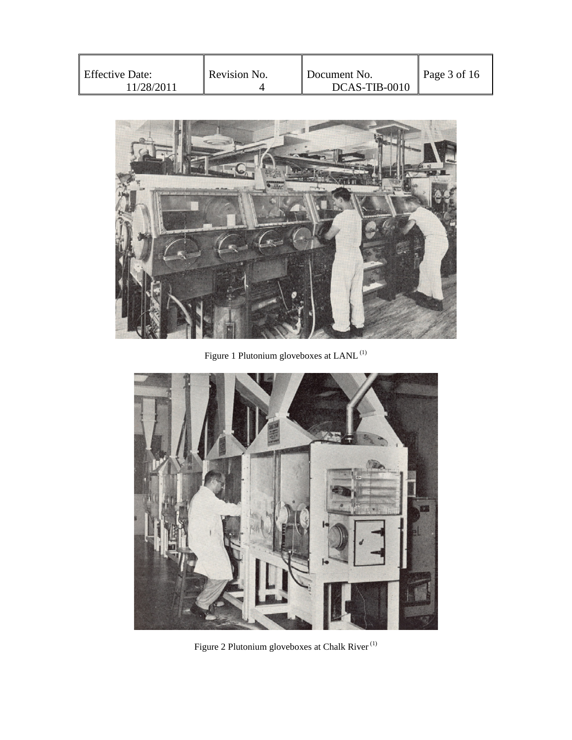| <b>Effective Date:</b><br>11/28/2011 | Revision No. | Document No.<br>DCAS-TIB-0010 | Page $3$ of 16 |
|--------------------------------------|--------------|-------------------------------|----------------|
|--------------------------------------|--------------|-------------------------------|----------------|



Figure 1 Plutonium gloveboxes at LANL (1)



Figure 2 Plutonium gloveboxes at Chalk  $\mbox{River}^{\,(1)}$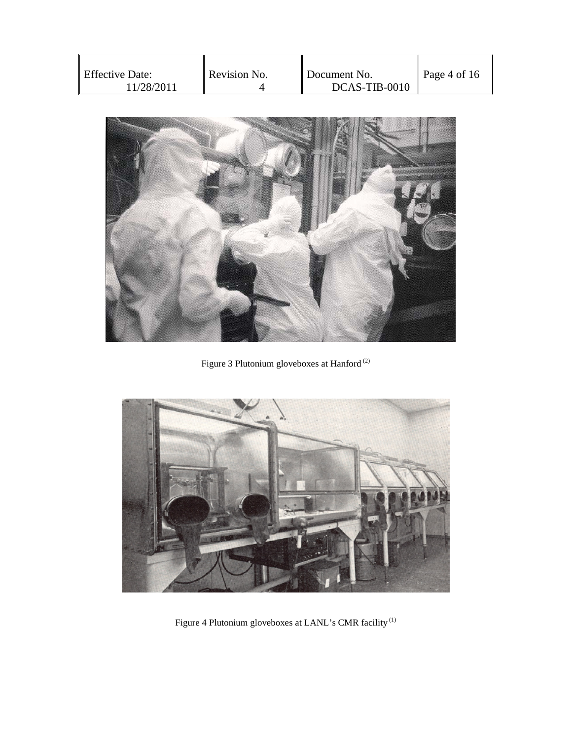| <b>Effective Date:</b><br>11/28/2011 | Revision No. | Document No.<br>DCAS-TIB-0010 | Page 4 of 16 |
|--------------------------------------|--------------|-------------------------------|--------------|
|--------------------------------------|--------------|-------------------------------|--------------|



Figure 3 Plutonium gloveboxes at  $\operatorname{Handord}^{(2)}$ 



Figure 4 Plutonium gloveboxes at LANL's CMR facility (1)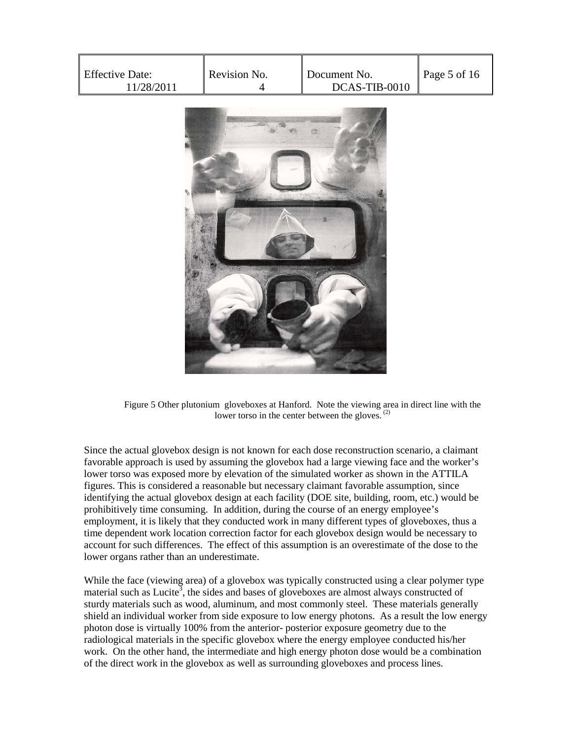| <b>Effective Date:</b><br>11/28/2011 | Revision No. | Document No.<br>DCAS-TIB-0010 | Page 5 of 16 |
|--------------------------------------|--------------|-------------------------------|--------------|
|--------------------------------------|--------------|-------------------------------|--------------|



Figure 5 Other plutonium gloveboxes at Hanford. Note the viewing area in direct line with the lower torso in the center between the gloves. $^{(2)}$ 

Since the actual glovebox design is not known for each dose reconstruction scenario, a claimant favorable approach is used by assuming the glovebox had a large viewing face and the worker's lower torso was exposed more by elevation of the simulated worker as shown in the ATTILA figures. This is considered a reasonable but necessary claimant favorable assumption, since identifying the actual glovebox design at each facility (DOE site, building, room, etc.) would be prohibitively time consuming. In addition, during the course of an energy employee's employment, it is likely that they conducted work in many different types of gloveboxes, thus a time dependent work location correction factor for each glovebox design would be necessary to account for such differences. The effect of this assumption is an overestimate of the dose to the lower organs rather than an underestimate.

While the face (viewing area) of a glovebox was typically constructed using a clear polymer type material such as Lucite<sup>3</sup>, the sides and bases of gloveboxes are almost always constructed of sturdy materials such as wood, aluminum, and most commonly steel. These materials generally shield an individual worker from side exposure to low energy photons. As a result the low energy photon dose is virtually 100% from the anterior- posterior exposure geometry due to the radiological materials in the specific glovebox where the energy employee conducted his/her work. On the other hand, the intermediate and high energy photon dose would be a combination of the direct work in the glovebox as well as surrounding gloveboxes and process lines.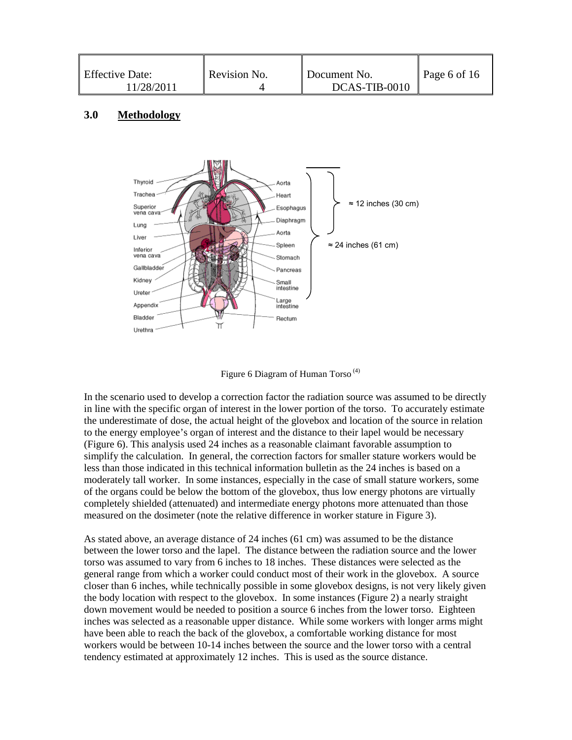| Effective Date:<br>11/28/2011 | Revision No. | Document No.<br>DCAS-TIB-0010 | Page 6 of 16 |
|-------------------------------|--------------|-------------------------------|--------------|
|-------------------------------|--------------|-------------------------------|--------------|

#### **3.0 Methodology**



Figure 6 Diagram of Human Torso<sup> $(4)$ </sup>

In the scenario used to develop a correction factor the radiation source was assumed to be directly in line with the specific organ of interest in the lower portion of the torso. To accurately estimate the underestimate of dose, the actual height of the glovebox and location of the source in relation to the energy employee's organ of interest and the distance to their lapel would be necessary (Figure 6). This analysis used 24 inches as a reasonable claimant favorable assumption to simplify the calculation. In general, the correction factors for smaller stature workers would be less than those indicated in this technical information bulletin as the 24 inches is based on a moderately tall worker. In some instances, especially in the case of small stature workers, some of the organs could be below the bottom of the glovebox, thus low energy photons are virtually completely shielded (attenuated) and intermediate energy photons more attenuated than those measured on the dosimeter (note the relative difference in worker stature in Figure 3).

As stated above, an average distance of 24 inches (61 cm) was assumed to be the distance between the lower torso and the lapel. The distance between the radiation source and the lower torso was assumed to vary from 6 inches to 18 inches. These distances were selected as the general range from which a worker could conduct most of their work in the glovebox. A source closer than 6 inches, while technically possible in some glovebox designs, is not very likely given the body location with respect to the glovebox. In some instances (Figure 2) a nearly straight down movement would be needed to position a source 6 inches from the lower torso. Eighteen inches was selected as a reasonable upper distance. While some workers with longer arms might have been able to reach the back of the glovebox, a comfortable working distance for most workers would be between 10-14 inches between the source and the lower torso with a central tendency estimated at approximately 12 inches. This is used as the source distance.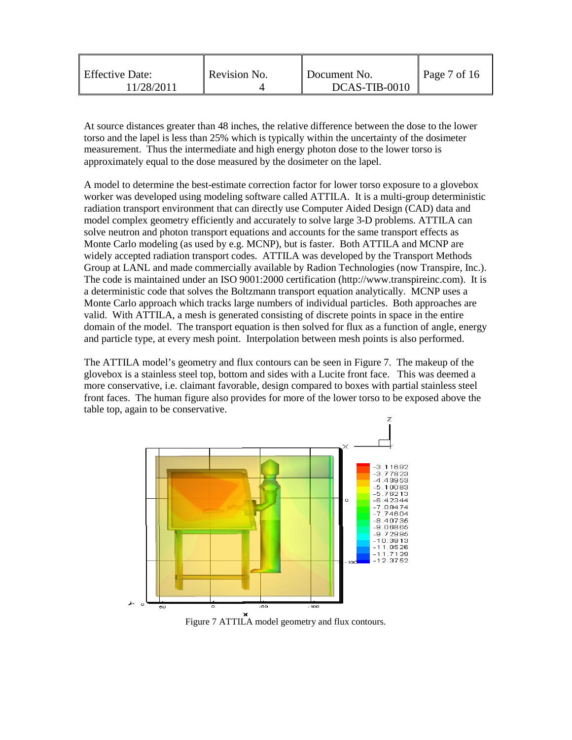| <b>Effective Date:</b><br>1/28/2011 | Revision No. | Document No.<br>DCAS-TIB-0010 | $\vert$ Page 7 of 16 |
|-------------------------------------|--------------|-------------------------------|----------------------|
|                                     |              |                               |                      |

At source distances greater than 48 inches, the relative difference between the dose to the lower torso and the lapel is less than 25% which is typically within the uncertainty of the dosimeter measurement. Thus the intermediate and high energy photon dose to the lower torso is approximately equal to the dose measured by the dosimeter on the lapel.

A model to determine the best-estimate correction factor for lower torso exposure to a glovebox worker was developed using modeling software called ATTILA. It is a multi-group deterministic radiation transport environment that can directly use Computer Aided Design (CAD) data and model complex geometry efficiently and accurately to solve large 3-D problems. ATTILA can solve neutron and photon transport equations and accounts for the same transport effects as Monte Carlo modeling (as used by e.g. MCNP), but is faster. Both ATTILA and MCNP are widely accepted radiation transport codes. ATTILA was developed by the Transport Methods Group at LANL and made commercially available by Radion Technologies (now Transpire, Inc.). The code is maintained under an ISO 9001:2000 certification (http://www.transpireinc.com). It is a deterministic code that solves the Boltzmann transport equation analytically. MCNP uses a Monte Carlo approach which tracks large numbers of individual particles. Both approaches are valid. With ATTILA, a mesh is generated consisting of discrete points in space in the entire domain of the model. The transport equation is then solved for flux as a function of angle, energy and particle type, at every mesh point. Interpolation between mesh points is also performed.

The ATTILA model's geometry and flux contours can be seen in Figure 7. The makeup of the glovebox is a stainless steel top, bottom and sides with a Lucite front face. This was deemed a more conservative, i.e. claimant favorable, design compared to boxes with partial stainless steel front faces. The human figure also provides for more of the lower torso to be exposed above the table top, again to be conservative.



Figure 7 ATTILA model geometry and flux contours.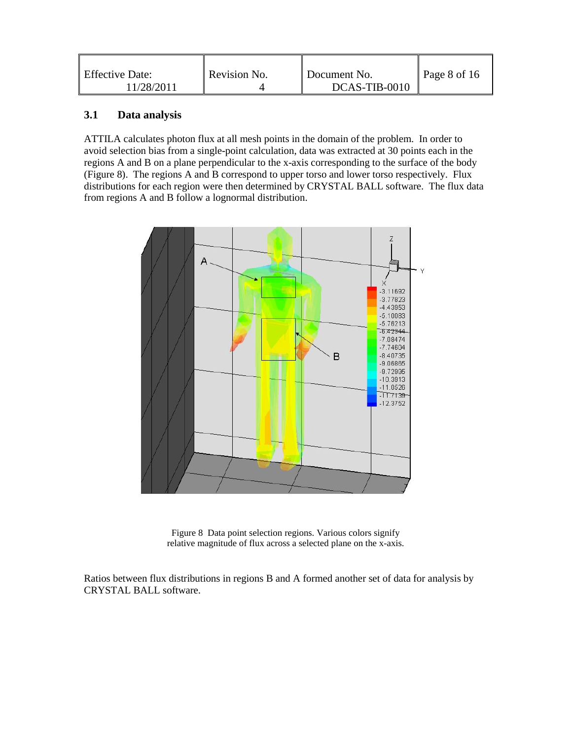| <b>Effective Date:</b><br>1/28/2011 | Revision No. | Document No.<br>DCAS-TIB-0010 | Page 8 of 16 |
|-------------------------------------|--------------|-------------------------------|--------------|
|                                     |              |                               |              |

#### **3.1 Data analysis**

ATTILA calculates photon flux at all mesh points in the domain of the problem. In order to avoid selection bias from a single-point calculation, data was extracted at 30 points each in the regions A and B on a plane perpendicular to the x-axis corresponding to the surface of the body (Figure 8). The regions A and B correspond to upper torso and lower torso respectively. Flux distributions for each region were then determined by CRYSTAL BALL software. The flux data from regions A and B follow a lognormal distribution.



Figure 8 Data point selection regions. Various colors signify relative magnitude of flux across a selected plane on the x-axis.

Ratios between flux distributions in regions B and A formed another set of data for analysis by CRYSTAL BALL software.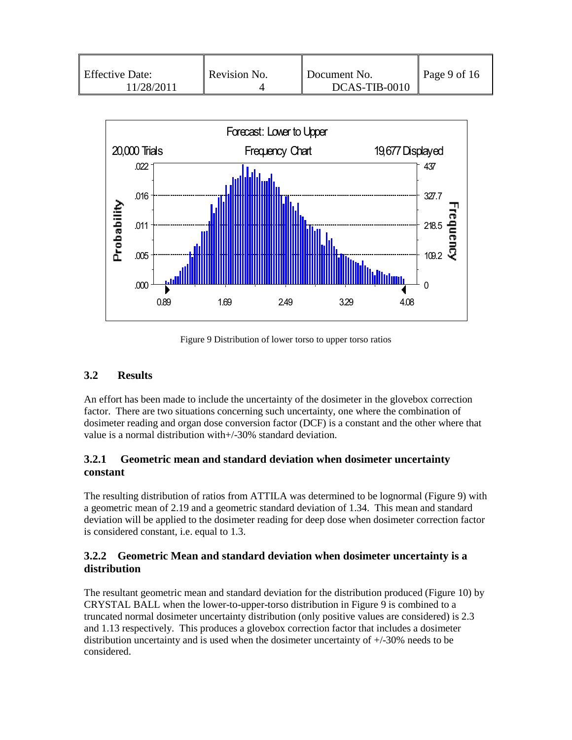| <b>Effective Date:</b><br>11/28/2011 | Revision No. | Document No.<br>DCAS-TIB-0010 | $\vert$ Page 9 of 16 |
|--------------------------------------|--------------|-------------------------------|----------------------|
|--------------------------------------|--------------|-------------------------------|----------------------|



Figure 9 Distribution of lower torso to upper torso ratios

## **3.2 Results**

An effort has been made to include the uncertainty of the dosimeter in the glovebox correction factor. There are two situations concerning such uncertainty, one where the combination of dosimeter reading and organ dose conversion factor (DCF) is a constant and the other where that value is a normal distribution with+/-30% standard deviation.

### **3.2.1 Geometric mean and standard deviation when dosimeter uncertainty constant**

The resulting distribution of ratios from ATTILA was determined to be lognormal (Figure 9) with a geometric mean of 2.19 and a geometric standard deviation of 1.34. This mean and standard deviation will be applied to the dosimeter reading for deep dose when dosimeter correction factor is considered constant, i.e. equal to 1.3.

#### **3.2.2 Geometric Mean and standard deviation when dosimeter uncertainty is a distribution**

The resultant geometric mean and standard deviation for the distribution produced (Figure 10) by CRYSTAL BALL when the lower-to-upper-torso distribution in Figure 9 is combined to a truncated normal dosimeter uncertainty distribution (only positive values are considered) is 2.3 and 1.13 respectively. This produces a glovebox correction factor that includes a dosimeter distribution uncertainty and is used when the dosimeter uncertainty of +/-30% needs to be considered.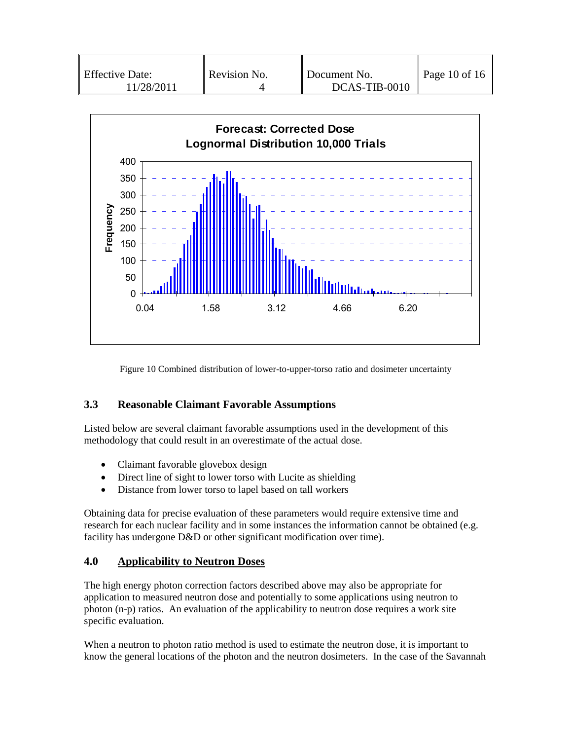| Revision No.<br><b>Effective Date:</b><br>11/28/2011 | Document No.<br>DCAS-TIB-0010 | $\vert$ Page 10 of 16 |
|------------------------------------------------------|-------------------------------|-----------------------|
|------------------------------------------------------|-------------------------------|-----------------------|



Figure 10 Combined distribution of lower-to-upper-torso ratio and dosimeter uncertainty

#### **3.3 Reasonable Claimant Favorable Assumptions**

Listed below are several claimant favorable assumptions used in the development of this methodology that could result in an overestimate of the actual dose.

- Claimant favorable glovebox design
- Direct line of sight to lower torso with Lucite as shielding
- Distance from lower torso to lapel based on tall workers

Obtaining data for precise evaluation of these parameters would require extensive time and research for each nuclear facility and in some instances the information cannot be obtained (e.g. facility has undergone D&D or other significant modification over time).

#### **4.0 Applicability to Neutron Doses**

The high energy photon correction factors described above may also be appropriate for application to measured neutron dose and potentially to some applications using neutron to photon (n-p) ratios. An evaluation of the applicability to neutron dose requires a work site specific evaluation.

When a neutron to photon ratio method is used to estimate the neutron dose, it is important to know the general locations of the photon and the neutron dosimeters. In the case of the Savannah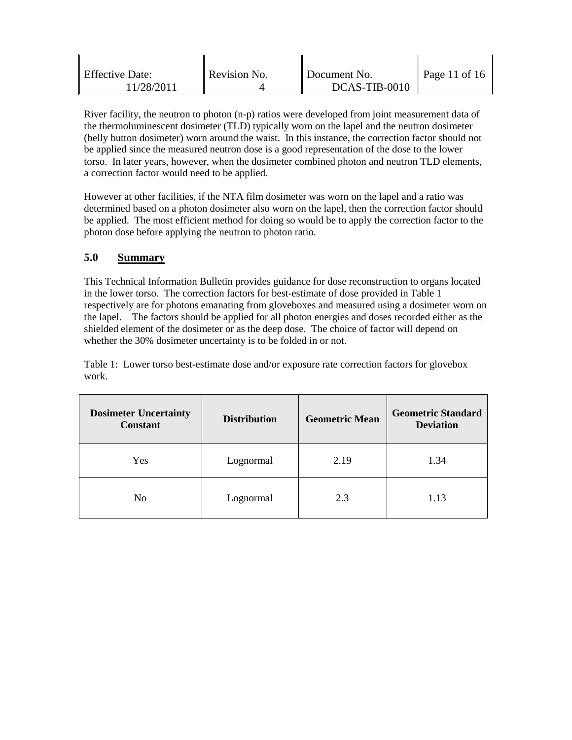| <b>Effective Date:</b> | Revision No. | Document No.  | $\vert$ Page 11 of 16 |
|------------------------|--------------|---------------|-----------------------|
| 11/28/2011             |              | DCAS-TIB-0010 |                       |

River facility, the neutron to photon (n-p) ratios were developed from joint measurement data of the thermoluminescent dosimeter (TLD) typically worn on the lapel and the neutron dosimeter (belly button dosimeter) worn around the waist. In this instance, the correction factor should not be applied since the measured neutron dose is a good representation of the dose to the lower torso. In later years, however, when the dosimeter combined photon and neutron TLD elements, a correction factor would need to be applied.

However at other facilities, if the NTA film dosimeter was worn on the lapel and a ratio was determined based on a photon dosimeter also worn on the lapel, then the correction factor should be applied. The most efficient method for doing so would be to apply the correction factor to the photon dose before applying the neutron to photon ratio.

#### **5.0 Summary**

This Technical Information Bulletin provides guidance for dose reconstruction to organs located in the lower torso. The correction factors for best-estimate of dose provided in Table 1 respectively are for photons emanating from gloveboxes and measured using a dosimeter worn on the lapel. The factors should be applied for all photon energies and doses recorded either as the shielded element of the dosimeter or as the deep dose. The choice of factor will depend on whether the 30% dosimeter uncertainty is to be folded in or not.

Table 1: Lower torso best-estimate dose and/or exposure rate correction factors for glovebox work.

| <b>Dosimeter Uncertainty</b><br><b>Constant</b> | <b>Distribution</b> | <b>Geometric Mean</b> | <b>Geometric Standard</b><br><b>Deviation</b> |
|-------------------------------------------------|---------------------|-----------------------|-----------------------------------------------|
| Yes                                             | Lognormal           | 2.19                  | 1.34                                          |
| N <sub>0</sub>                                  | Lognormal           | 2.3                   | 1.13                                          |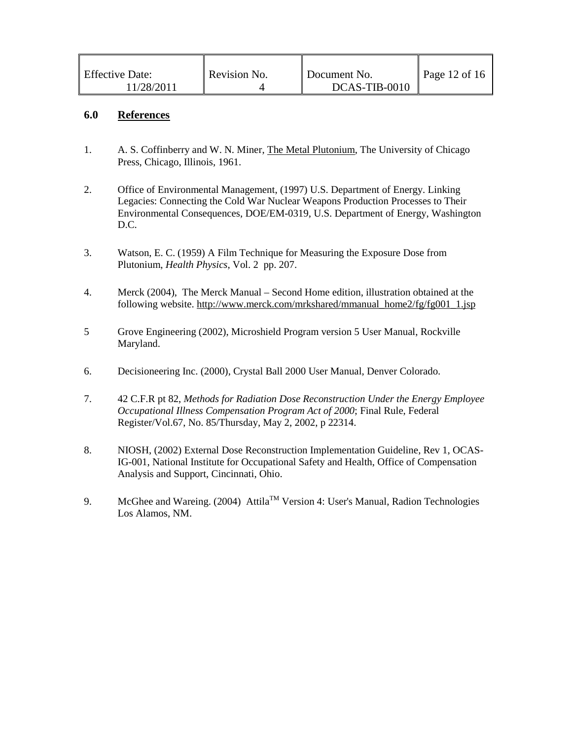| <b>Effective Date:</b> | Revision No. | Document No.  | Page 12 of 16 |
|------------------------|--------------|---------------|---------------|
| 11/28/2011             |              | DCAS-TIB-0010 |               |

#### **6.0 References**

- 1. A. S. Coffinberry and W. N. Miner, The Metal Plutonium, The University of Chicago Press, Chicago, Illinois, 1961.
- 2. Office of Environmental Management, (1997) U.S. Department of Energy. Linking Legacies: Connecting the Cold War Nuclear Weapons Production Processes to Their Environmental Consequences, DOE/EM-0319, U.S. Department of Energy, Washington D.C.
- 3. Watson, E. C. (1959) A Film Technique for Measuring the Exposure Dose from Plutonium, *Health Physics*, Vol. 2 pp. 207.
- 4. Merck (2004), The Merck Manual Second Home edition, illustration obtained at the following website. http://www.merck.com/mrkshared/mmanual\_home2/fg/fg001\_1.jsp
- 5 Grove Engineering (2002), Microshield Program version 5 User Manual, Rockville Maryland.
- 6. Decisioneering Inc. (2000), Crystal Ball 2000 User Manual, Denver Colorado.
- 7. 42 C.F.R pt 82, *Methods for Radiation Dose Reconstruction Under the Energy Employee Occupational Illness Compensation Program Act of 2000*; Final Rule, Federal Register/Vol.67, No. 85/Thursday, May 2, 2002, p 22314.
- 8. NIOSH, (2002) External Dose Reconstruction Implementation Guideline, Rev 1, OCAS-IG-001, National Institute for Occupational Safety and Health, Office of Compensation Analysis and Support, Cincinnati, Ohio.
- 9. McGhee and Wareing. (2004) Attila<sup>TM</sup> Version 4: User's Manual, Radion Technologies Los Alamos, NM.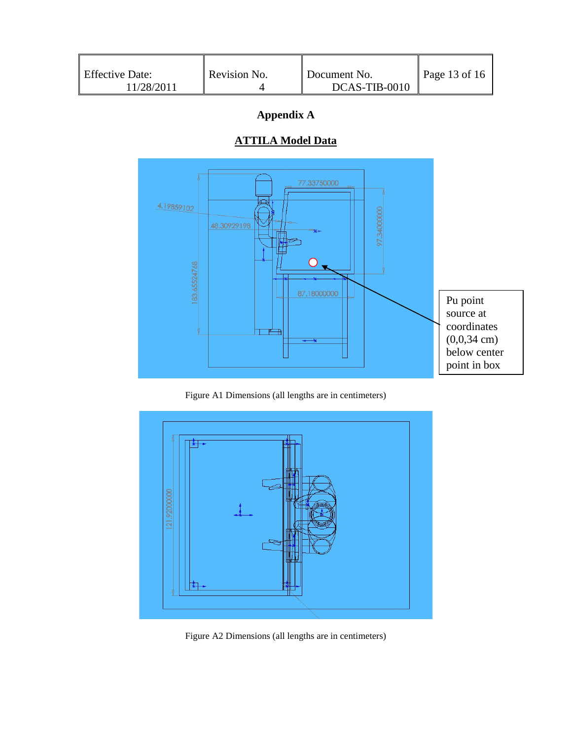| <b>Effective Date:</b> | Revision No. | Document No.  | Page 13 of $16$ |
|------------------------|--------------|---------------|-----------------|
| 11/28/2011             |              | DCAS-TIB-0010 |                 |

# **Appendix A**

# **ATTILA Model Data**



Figure A1 Dimensions (all lengths are in centimeters)



Figure A2 Dimensions (all lengths are in centimeters)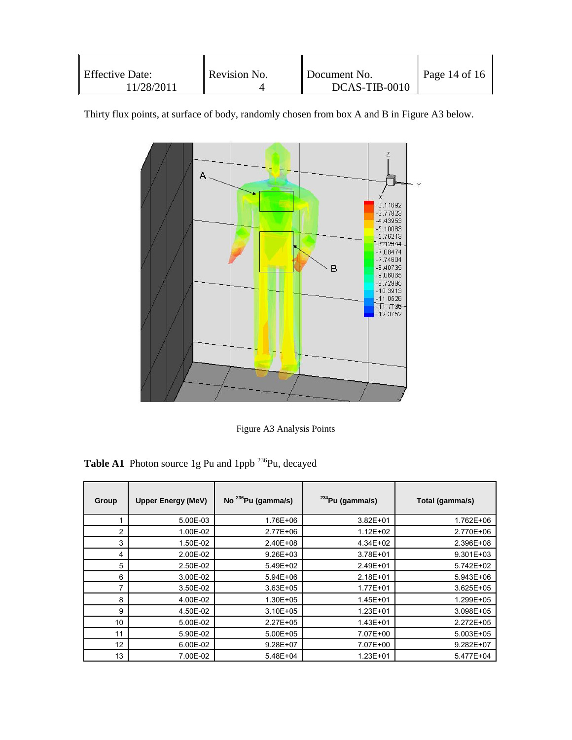|  | <b>Effective Date:</b><br>11/28/2011 | Revision No. | Document No.<br>DCAS-TIB-0010 | Page 14 of 16 |
|--|--------------------------------------|--------------|-------------------------------|---------------|
|--|--------------------------------------|--------------|-------------------------------|---------------|

Thirty flux points, at surface of body, randomly chosen from box A and B in Figure A3 below.



Figure A3 Analysis Points

Table A1 Photon source 1g Pu and 1ppb <sup>236</sup>Pu, decayed

| Group          | <b>Upper Energy (MeV)</b> | No $^{236}$ Pu (gamma/s) | $234$ Pu (gamma/s) | Total (gamma/s) |
|----------------|---------------------------|--------------------------|--------------------|-----------------|
| 1              | 5.00E-03                  | 1.76E+06                 | $3.82E + 01$       | 1.762E+06       |
| $\overline{2}$ | 1.00E-02                  | 2.77E+06                 | 1.12E+02           | 2.770E+06       |
| 3              | 1.50E-02                  | 2.40E+08                 | 4.34E+02           | 2.396E+08       |
| 4              | 2.00E-02                  | $9.26E + 03$             | 3.78E+01           | 9.301E+03       |
| 5              | 2.50E-02                  | 5.49E+02                 | 2.49E+01           | 5.742E+02       |
| 6              | 3.00E-02                  | 5.94E+06                 | $2.18E + 01$       | 5.943E+06       |
| 7              | 3.50E-02                  | $3.63E + 05$             | 1.77E+01           | 3.625E+05       |
| 8              | 4.00E-02                  | 1.30E+05                 | 1.45E+01           | 1.299E+05       |
| 9              | 4.50E-02                  | $3.10E + 05$             | $1.23E + 01$       | 3.098E+05       |
| 10             | 5.00E-02                  | 2.27E+05                 | 1.43E+01           | 2.272E+05       |
| 11             | 5.90E-02                  | 5.00E+05                 | 7.07E+00           | 5.003E+05       |
| 12             | 6.00E-02                  | 9.28E+07                 | 7.07E+00           | 9.282E+07       |
| 13             | 7.00E-02                  | 5.48E+04                 | $1.23E + 01$       | 5.477E+04       |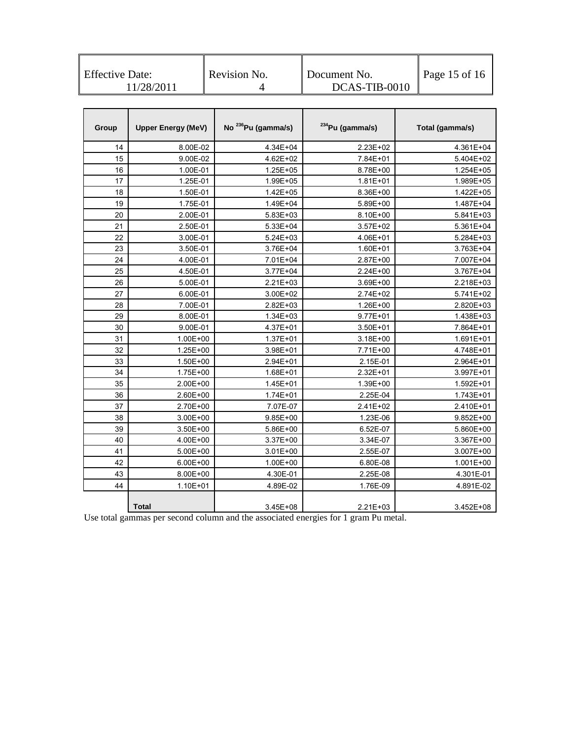| <b>Effective Date:</b> | Revision No. | Document No.  | Page 15 of 16 |
|------------------------|--------------|---------------|---------------|
| 11/28/2011             |              | DCAS-TIB-0010 |               |

| Group | <b>Upper Energy (MeV)</b> | No <sup>236</sup> Pu (gamma/s) | <sup>234</sup> Pu (gamma/s) | Total (gamma/s) |
|-------|---------------------------|--------------------------------|-----------------------------|-----------------|
| 14    | 8.00E-02                  | 4.34E+04                       | 2.23E+02                    | 4.361E+04       |
| 15    | 9.00E-02                  | 4.62E+02                       | 7.84E+01                    | 5.404E+02       |
| 16    | 1.00E-01                  | 1.25E+05                       | 8.78E+00                    | 1.254E+05       |
| 17    | 1.25E-01                  | 1.99E+05                       | $1.81E + 01$                | 1.989E+05       |
| 18    | 1.50E-01                  | 1.42E+05                       | 8.36E+00                    | 1.422E+05       |
| 19    | 1.75E-01                  | 1.49E+04                       | 5.89E+00                    | 1.487E+04       |
| 20    | 2.00E-01                  | 5.83E+03                       | 8.10E+00                    | 5.841E+03       |
| 21    | 2.50E-01                  | 5.33E+04                       | $3.57E + 02$                | 5.361E+04       |
| 22    | 3.00E-01                  | 5.24E+03                       | 4.06E+01                    | 5.284E+03       |
| 23    | 3.50E-01                  | 3.76E+04                       | 1.60E+01                    | 3.763E+04       |
| 24    | 4.00E-01                  | 7.01E+04                       | 2.87E+00                    | 7.007E+04       |
| 25    | 4.50E-01                  | 3.77E+04                       | 2.24E+00                    | 3.767E+04       |
| 26    | 5.00E-01                  | 2.21E+03                       | 3.69E+00                    | 2.218E+03       |
| 27    | 6.00E-01                  | 3.00E+02                       | 2.74E+02                    | 5.741E+02       |
| 28    | 7.00E-01                  | 2.82E+03                       | 1.26E+00                    | 2.820E+03       |
| 29    | 8.00E-01                  | 1.34E+03                       | $9.77E + 01$                | 1.438E+03       |
| 30    | 9.00E-01                  | 4.37E+01                       | 3.50E+01                    | 7.864E+01       |
| 31    | 1.00E+00                  | 1.37E+01                       | 3.18E+00                    | 1.691E+01       |
| 32    | 1.25E+00                  | 3.98E+01                       | 7.71E+00                    | 4.748E+01       |
| 33    | 1.50E+00                  | 2.94E+01                       | 2.15E-01                    | 2.964E+01       |
| 34    | 1.75E+00                  | 1.68E+01                       | 2.32E+01                    | 3.997E+01       |
| 35    | 2.00E+00                  | 1.45E+01                       | 1.39E+00                    | 1.592E+01       |
| 36    | 2.60E+00                  | 1.74E+01                       | 2.25E-04                    | 1.743E+01       |
| 37    | 2.70E+00                  | 7.07E-07                       | 2.41E+02                    | 2.410E+01       |
| 38    | 3.00E+00                  | $9.85E + 00$                   | 1.23E-06                    | 9.852E+00       |
| 39    | 3.50E+00                  | 5.86E+00                       | 6.52E-07                    | 5.860E+00       |
| 40    | 4.00E+00                  | 3.37E+00                       | 3.34E-07                    | 3.367E+00       |
| 41    | 5.00E+00                  | 3.01E+00                       | 2.55E-07                    | 3.007E+00       |
| 42    | 6.00E+00                  | 1.00E+00                       | 6.80E-08                    | 1.001E+00       |
| 43    | 8.00E+00                  | 4.30E-01                       | 2.25E-08                    | 4.301E-01       |
| 44    | 1.10E+01                  | 4.89E-02                       | 1.76E-09                    | 4.891E-02       |
|       | Total                     | 3.45E+08                       | 2.21E+03                    | 3.452E+08       |

Use total gammas per second column and the associated energies for 1 gram Pu metal.